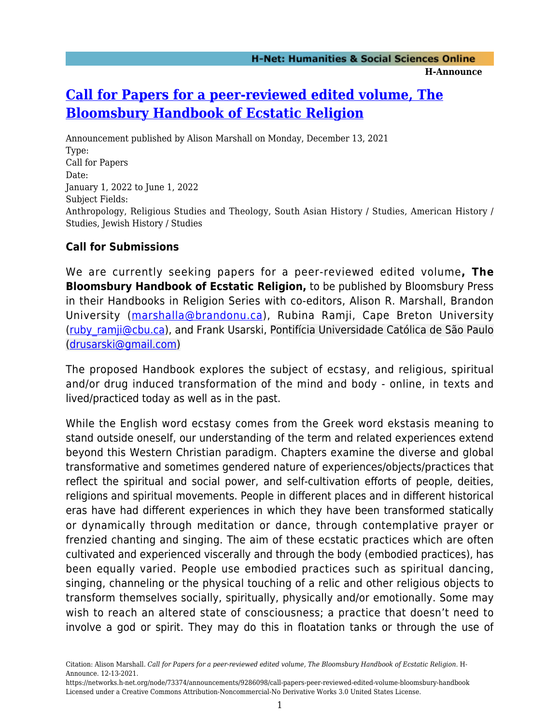# **[Call for Papers for a peer-reviewed edited volume, The](https://networks.h-net.org/node/73374/announcements/9286098/call-papers-peer-reviewed-edited-volume-bloomsbury-handbook) [Bloomsbury Handbook of Ecstatic Religion](https://networks.h-net.org/node/73374/announcements/9286098/call-papers-peer-reviewed-edited-volume-bloomsbury-handbook)**

Announcement published by Alison Marshall on Monday, December 13, 2021 Type: Call for Papers Date: January 1, 2022 to June 1, 2022 Subject Fields: Anthropology, Religious Studies and Theology, South Asian History / Studies, American History / Studies, Jewish History / Studies

## **Call for Submissions**

We are currently seeking papers for a peer-reviewed edited volume**, The Bloomsbury Handbook of Ecstatic Religion,** to be published by Bloomsbury Press in their Handbooks in Religion Series with co-editors, Alison R. Marshall, Brandon University ([marshalla@brandonu.ca](mailto:marshalla@brandonu.ca)), Rubina Ramji, Cape Breton University (ruby ramji@cbu.ca), and Frank Usarski, Pontifícia Universidade Católica de São Paulo [\(drusarski@gmail.com](mailto:drusarski@gmail.com))

The proposed Handbook explores the subject of ecstasy, and religious, spiritual and/or drug induced transformation of the mind and body - online, in texts and lived/practiced today as well as in the past.

While the English word ecstasy comes from the Greek word ekstasis meaning to stand outside oneself, our understanding of the term and related experiences extend beyond this Western Christian paradigm. Chapters examine the diverse and global transformative and sometimes gendered nature of experiences/objects/practices that reflect the spiritual and social power, and self-cultivation efforts of people, deities, religions and spiritual movements. People in different places and in different historical eras have had different experiences in which they have been transformed statically or dynamically through meditation or dance, through contemplative prayer or frenzied chanting and singing. The aim of these ecstatic practices which are often cultivated and experienced viscerally and through the body (embodied practices), has been equally varied. People use embodied practices such as spiritual dancing, singing, channeling or the physical touching of a relic and other religious objects to transform themselves socially, spiritually, physically and/or emotionally. Some may wish to reach an altered state of consciousness; a practice that doesn't need to involve a god or spirit. They may do this in floatation tanks or through the use of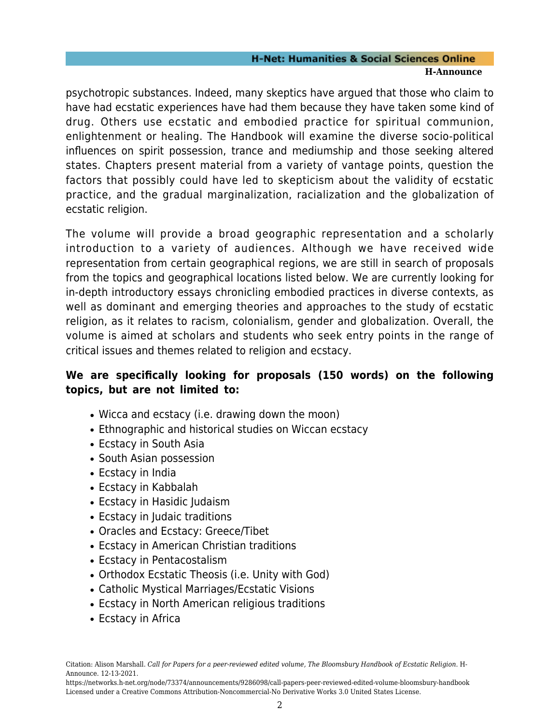#### **H-Net: Humanities & Social Sciences Online H-Announce**

psychotropic substances. Indeed, many skeptics have argued that those who claim to have had ecstatic experiences have had them because they have taken some kind of drug. Others use ecstatic and embodied practice for spiritual communion, enlightenment or healing. The Handbook will examine the diverse socio-political influences on spirit possession, trance and mediumship and those seeking altered states. Chapters present material from a variety of vantage points, question the factors that possibly could have led to skepticism about the validity of ecstatic practice, and the gradual marginalization, racialization and the globalization of ecstatic religion.

The volume will provide a broad geographic representation and a scholarly introduction to a variety of audiences. Although we have received wide representation from certain geographical regions, we are still in search of proposals from the topics and geographical locations listed below. We are currently looking for in-depth introductory essays chronicling embodied practices in diverse contexts, as well as dominant and emerging theories and approaches to the study of ecstatic religion, as it relates to racism, colonialism, gender and globalization. Overall, the volume is aimed at scholars and students who seek entry points in the range of critical issues and themes related to religion and ecstacy.

# **We are specifically looking for proposals (150 words) on the following topics, but are not limited to:**

- Wicca and ecstacy (i.e. drawing down the moon)
- Ethnographic and historical studies on Wiccan ecstacy
- Ecstacy in South Asia
- South Asian possession
- Ecstacy in India
- Ecstacy in Kabbalah
- Ecstacy in Hasidic Judaism
- Ecstacy in Judaic traditions
- Oracles and Ecstacy: Greece/Tibet
- Ecstacy in American Christian traditions
- Ecstacy in Pentacostalism
- Orthodox Ecstatic Theosis (i.e. Unity with God)
- Catholic Mystical Marriages/Ecstatic Visions
- Ecstacy in North American religious traditions
- Ecstacy in Africa

Citation: Alison Marshall. *Call for Papers for a peer-reviewed edited volume, The Bloomsbury Handbook of Ecstatic Religion*. H-Announce. 12-13-2021.

https://networks.h-net.org/node/73374/announcements/9286098/call-papers-peer-reviewed-edited-volume-bloomsbury-handbook Licensed under a Creative Commons Attribution-Noncommercial-No Derivative Works 3.0 United States License.